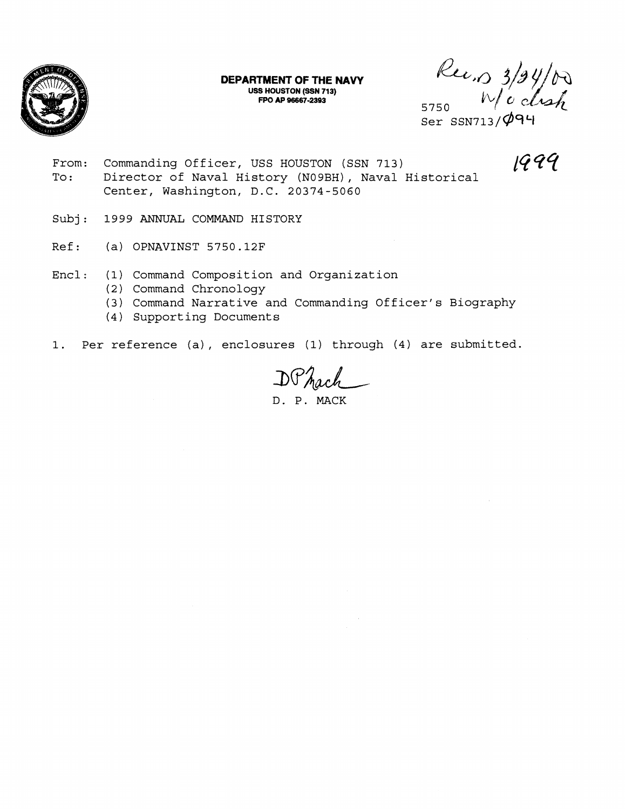

**DEPARTMENT OF THE NAVY USS HOUSTON (SSN 713) FPO AP 96667-2393** 

 $\frac{\mathcal{R}}{\mathcal{L}} \mathcal{L}}$   $\frac{3}{9}$ /00<br>Ser SSN713/094

19 *4Y* 

- From: Commanding Officer, USS HOUSTON (SSN 713) To: Director of Naval History (N09BH), Naval Historical Center, Washington, D.C. 20374-5060
- Subj: 1999 ANNUAL COMMAND HISTORY
- Ref: (a) OPNAVINST 5750.12F
- Encl: (1) Command Composition and Organization
	- (2) Command Chronology
	- (3) Command Narrative and Commanding Officer's Biography
	- (4) Supporting Documents
- 1. Per reference (a), enclosures (1) through (4) are submitted.

DP<sub>hach</sub>

D. P. MACK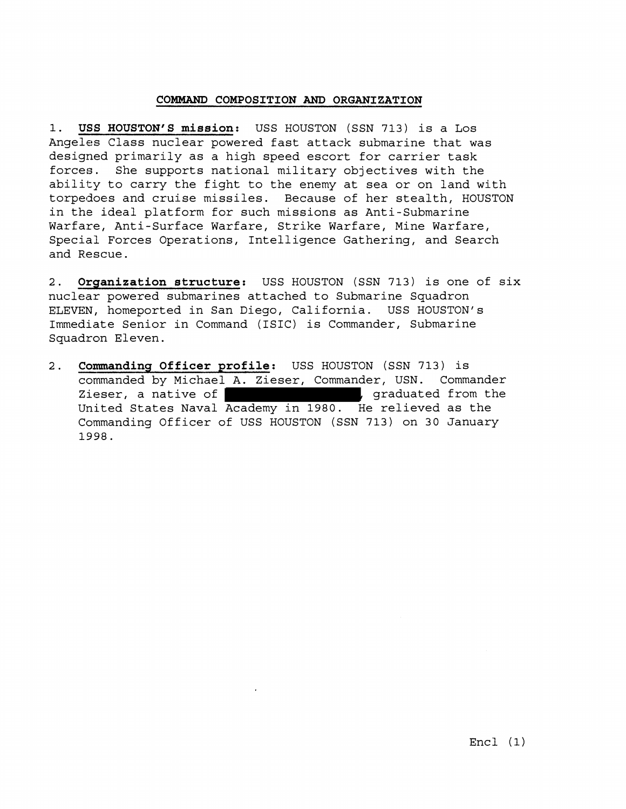# **COMMAND COMPOSITION AND ORGANIZATION**

1. **USS HOUSTON'S mission:** USS HOUSTON (SSN 713) is a Los Angeles Class nuclear powered fast attack submarine that was designed primarily as a high speed escort for carrier task forces. She supports national military objectives with the ability to carry the fight to the enemy at sea or on land with torpedoes and cruise missiles. Because of her stealth, HOUSTON in the ideal platform for such missions as Anti-Submarine Warfare, Anti-Surface Warfare, Strike Warfare, Mine Warfare, Special Forces Operations, Intelligence Gathering, and Search and Rescue.

**2. Organization structure:** USS HOUSTON (SSN 713) is one of six nuclear powered submarines attached to Submarine Squadron ELEVEN, homeported in San Diego, California. USS HOUSTON'S Immediate Senior in Command (ISIC) is Commander, Submarine<br>
2. **Commanding Officer profile:** USS HOUSTON (SSN 713) is<br>
commanded by Michael A. Zieser. Commander. USN. Command Squadron Eleven.

commanded by Michael A. Zieser, Commander, USN. Commander Zieser, a native of  $\begin{bmatrix} 1 & 0 & 0 \\ 0 & 1 & 0 \\ 0 & 0 & 0 \end{bmatrix}$ , graduated from the United States Naval Academy in 1980. He relieved as the Commanding Officer of USS HOUSTON (SSN 713) on 30 January 1998.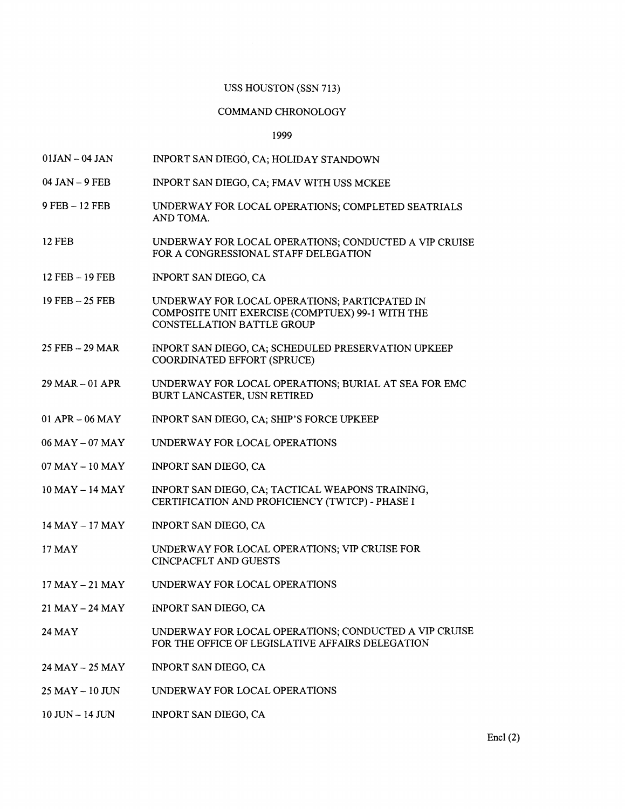## USS HOUSTON (SSN 713)

## COMMAND CHRONOLOGY

1999

- $01$ JAN  $-$  04 JAN TNPORT SAN DIEGO, CA; HOLIDAY STANDOWN
- 04 JAN 9 FEB INPORT SAN DIEGO, CA; FMAV WITH USS MCKEE
- 9 FEB 12 FEB UNDERWAY FOR LOCAL OPERATIONS; COMPLETED SEATRIALS AND TOMA.
- 12 FEB UNDERWAY FOR LOCAL OPERATIONS; CONDUCTED A VIP CRUISE FOR A CONGRESSIONAL STAFF DELEGATION
- 12FEB -- 19FEB INPORT SAN DIEGO, CA
- 19 FEB -- 25 FEB UNDERWAY FOR LOCAL OPERATIONS; PARTICPATED IN COMPOSITE UNIT EXERCISE (COMPTUEX) 99- 1 WITH THE CONSTELLATION BATTLE GROUP
- 25 FEB -- 29 MAR INPORT SAN DIEGO, CA; SCHEDULED PRESERVATION UPKEEP COORDINATED EFFORT (SPRUCE)
- 29 MAR 01 APR UNDERWAY FOR LOCAL OPERATIONS; BURIAL AT SEA FOR EMC BURT LANCASTER, USN RETIRED
- 01 APR- 06 MAY INPORT SAN DIEGO, CA; SHIP'S FORCE UPKEEP
- 06 MAY 07 MAY UNDERWAY FOR LOCAL OPERATIONS
- 07MAY-1OMAY INPORT SAN DIEGO, CA
- 10MAY-14MAY INPORT SAN DIEGO, CA; TACTICAL WEAPONS TRAINING, CERTIFICATION AND PROFICIENCY (TWTCP) - PHASE I
- 14MAY- 17MAY INPORT SAN DIEGO, CA
- 17 MAY UNDERWAY FOR LOCAL OPERATIONS; VIP CRUISE FOR CINCPACFLT AND GUESTS
- 17 MAY 21 MAY UNDERWAY FOR LOCAL OPERATIONS
- 21 MAY 24 MAY INPORT SAN DIEGO, CA
- 24 MAY UNDERWAY FOR LOCAL OPERATIONS; CONDUCTED A VIP CRUISE FOR THE OFFICE OF LEGISLATIVE AFFAIRS DELEGATION
- 24 MAY 25 MAY INPORT SAN DIEGO, CA
- 25 MAY 10 JUN UNDERWAY FOR LOCAL OPERATIONS
- 10 JUN- 14 JUN INPORT SAN DIEGO, CA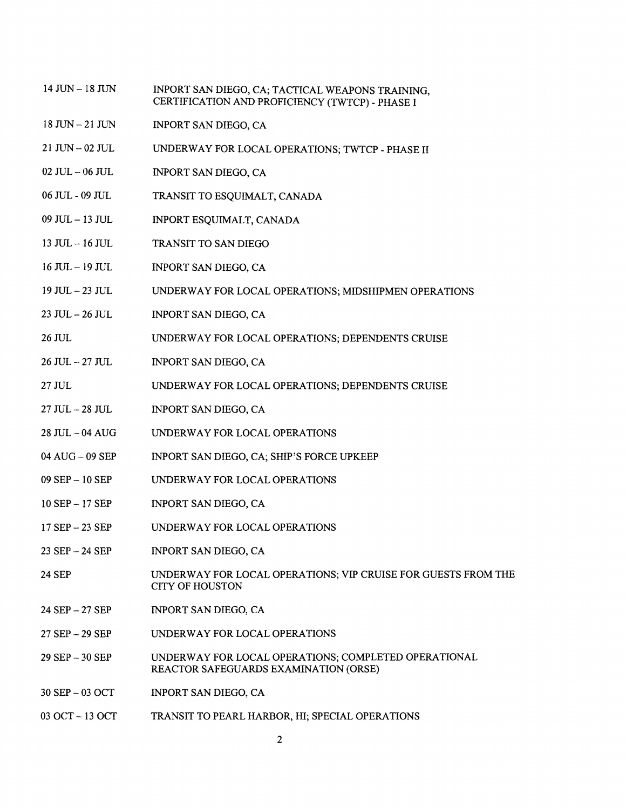- 14 JUN 18 JUN INPORT SAN DIEGO, CA; TACTICAL WEAPONS TRAINING, CERTIFICATION AND PROFICIENCY (TWTCP) - PHASE I
- $18$  JUN  $-21$  JUN INPORT SAN DIEGO, CA
- 21 JUN-02 JIJL UNDERWAY FOR LOCAL OPERATIONS; TWTCP - PHASE I1
- 02 JUL 06 JUL INPORT SAN DIEGO, CA
- 06 JUL 09 JUL TRANSIT TO ESQUIMALT, CANADA
- 09 JUL 13 JUL INPORT ESQUIMALT, CANADA
- 13 JUL 16 JUL TRANSIT TO SAN DIEGO
- 16JUL- 19JUL INPORT SAN DIEGO, CA
- 19 JUL 23 JUL UNDERWAY FOR LOCAL OPERATIONS; MIDSHIPMEN OPERATIONS
- 23 JUL 26 JUL INPORT SAN DIEGO, CA
- 26 JUL UNDERWAY FOR LOCAL OPERATIONS; DEPENDENTS CRUISE
- 26 JUL -- 27 JUL INPORT SAN DIEGO, CA
- 27 JUL UNDERWAY FOR LOCAL OPERATIONS; DEPENDENTS CRUISE
- 27 JUL -- 28 JUL INPORT SAN DIEGO, CA
- 28 JUL .- 04 AUG UNDERWAY FOR LOCAL OPERATIONS
- 04 AUG 09 SEP INPORT SAN DIEGO, CA; SHIP'S FORCE UPKEEP
- 09 SEP 10 SEP UNDERWAY FOR LOCAL OPERATIONS
- 10 SEP- 17 SEP INPORT SAN DIEGO, CA
- 17 SEP 23 SEP UNDERWAY FOR LOCAL OPERATIONS
- 23 SEP 24 SEP INPORT SAN DIEGO, CA
- 24 SEF' UNDERWAY FOR LOCAL OPERATIONS; VIP CRUISE FOR GUESTS FROM THE CITY OF HOUSTON
- 24 SEI' **27** SEP INPORT SAN DIEGO, CA
- 27 SEP 29 SEP UNDERWAY FOR LOCAL OPERATIONS
- 29 SEP 30 SEP UNDERWAY FOR LOCAL OPERATIONS; COMPLETED OPERATIONAL REACTOR SAFEGUARDS EXAMINATION (ORSE)
- 30 SEP 03 OCT INPORT SAN DIEGO, CA
- 03 OCT 13 OCT TRANSIT TO PEARL HARBOR, HI; SPECIAL OPERATIONS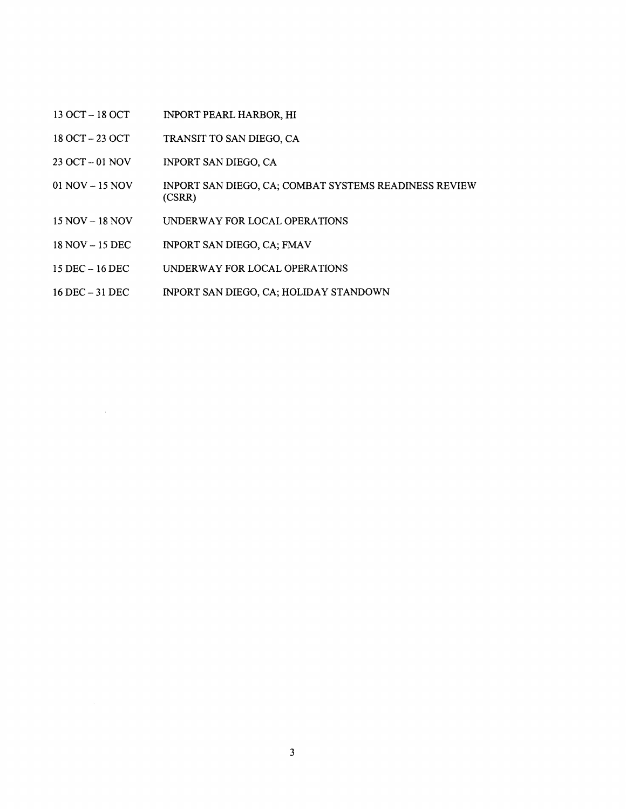- 13 OCT 18 OCT INPORT PEARL HARBOR, HI
- 18 OCT -- 23 OCT TRANSIT TO SAN DIEGO, CA
- 23 OCT -- 01 NOV INPORT SAN DIEGO, CA
- 01 NOV 15 NOV INPORT SAN DIEGO, CA; COMBAT SYSTEMS READINESS REVIEW (CSRR)
- 15 NOV- 18 NOV UNDERWAY FOR LOCAL OPERATIONS
- 18 NOV 15 DEC INPORT SAN DIEGO, CA; FMAV
- 15 DEC 16 DEC UNDERWAY FOR LOCAL OPERATIONS
- 16DEC-31DEC INPORT SAN DIEGO, CA; HOLIDAY STANDOWN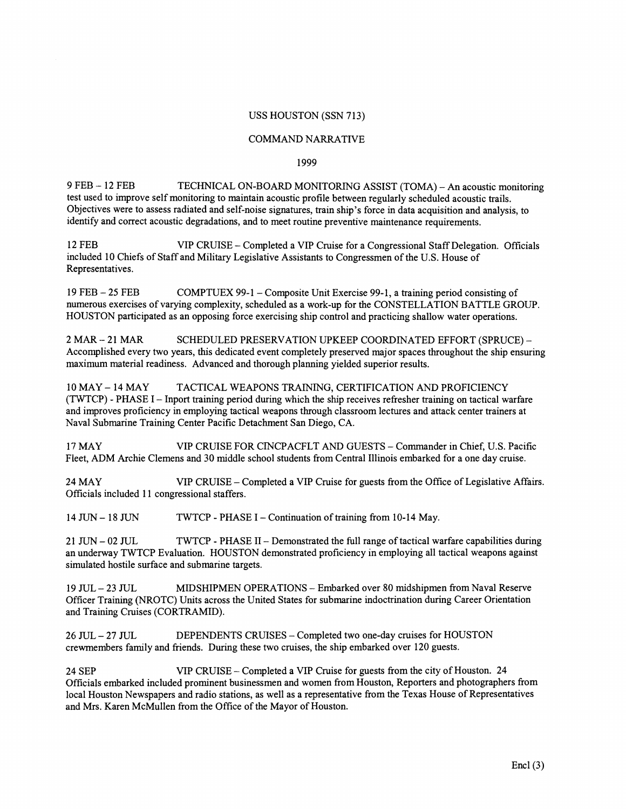# USS HOUSTON (SSN 713)

### COMMAND NARRATIVE

## 1999

9 FEB - 12 FEB TECHNICAL ON-BOARD MONITORING ASSIST (TOMA) - **An** acoustic monitoring test used to improve self monitoring to maintain acoustic profile between regularly scheduled acoustic trails. Objectives were to assess radiated and self-noise signatures, train ship's force in data acquisition and analysis, to identify and correct acoustic degradations, and to meet routine preventive maintenance requirements.

12 FEB VIP CRUISE - Completed a VIP Cruise for a Congressional Staff Delegation. Officials included 10 Chiefs of Staff and Military Legislative Assistants to Congressmen of the U.S. House of Representatives.

19 FEB - 25 FEB COMPTUEX 99-1 - Composite Unit Exercise 99-1, a training period consisting of numerous exercises of varying complexity, scheduled as a work-up for the CONSTELLATION BATTLE GROUP. HOUSTON participated as an opposing force exercising ship control and practicing shallow water operations.

2 MAR -- 21 MAR SCHEDULED PRESERVATION UPKEEP COORDINATED EFFORT (SPRUCE) --Accomplished every two years, this dedicated event completely preserved major spaces throughout the ship ensuring maximum material readiness. Advanced and thorough planning yielded superior results.

10 MAY - 14 MAY TACTICAL WEAPONS TRAINING, CERTIFICATION AND PROFICIENCY (TNTCP) - PHASE I - Inport training period during which the ship receives refresher training on tactical warfare and improves proficiency in employing tactical weapons through classroom lectures and attack center trainers at Naval Submarine Training Center Pacific Detachment San Diego, CA.

17 MAY VIP CRUISE FOR CINCPACFLT AND GUESTS - Commander in Chief, U.S. Pacific Fleet, ADM Archie Clemens and 30 middle school students from Central Illinois embarked for a one day cruise.

24 MAY VIP CRUISE - Completed a VIP Cruise for guests from the Office of Legislative Affairs. Officials included 11 congressional staffers.

14 JUN - 18 JUN TWTCP - PHASE I - Continuation of training from 10-14 May.

21 JUN - 02 JUL TWTCP - PHASE II - Demonstrated the full range of tactical warfare capabilities during an underway TWTCP Evaluation. HOUSTON demonstrated proficiency in employing all tactical weapons against simulated hostile surface and submarine targets.

19 JUL-23 JUL MIDSHIPMEN OPERATIONS - Embarked over 80 midshipmen from Naval Reserve Officer Training (NROTC) Units across the United States for submarine indoctrination during Career Orientation and Training Cruises (CORTRAMID).

26 JUL-27 JUL DEPENDENTS CRUISES - Completed two one-day cruises for HOUSTON crewmembers family and friends. During these two cruises, the ship embarked over 120 guests.

24 SEP VIP CRUISE - Completed a VIP Cruise for guests from the city of Houston. 24 Officials embarked included prominent businessmen and women from Houston, Reporters and photographers from local Houston Newspapers and radio stations, as well as a representative from the Texas House of Representatives and Mrs. Karen McMullen from the Office of the Mayor of Houston.